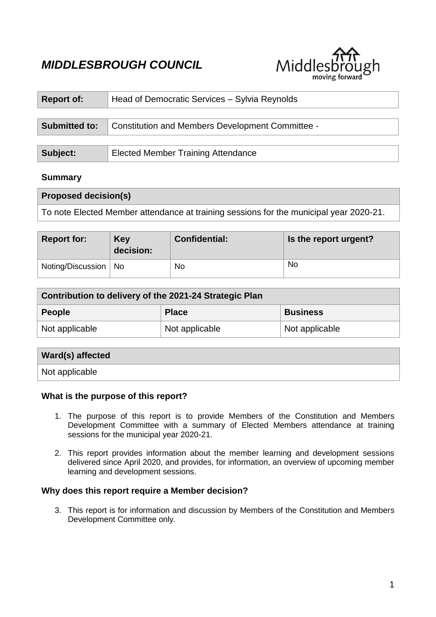# *MIDDLESBROUGH COUNCIL*



| <b>Report of:</b>    | Head of Democratic Services - Sylvia Reynolds    |  |  |
|----------------------|--------------------------------------------------|--|--|
|                      |                                                  |  |  |
| <b>Submitted to:</b> | Constitution and Members Development Committee - |  |  |
|                      |                                                  |  |  |
| Subject:             | <b>Elected Member Training Attendance</b>        |  |  |

# **Summary**

| <b>Proposed decision(s)</b>                                                            |  |
|----------------------------------------------------------------------------------------|--|
| To note Elected Member attendance at training sessions for the municipal year 2020-21. |  |

| <b>Report for:</b>     | Key<br>decision: | Confidential: | Is the report urgent? |
|------------------------|------------------|---------------|-----------------------|
| Noting/Discussion   No |                  | No            | <b>No</b>             |

| Contribution to delivery of the 2021-24 Strategic Plan |                |                 |  |
|--------------------------------------------------------|----------------|-----------------|--|
| <b>People</b>                                          | <b>Place</b>   | <b>Business</b> |  |
| Not applicable                                         | Not applicable | Not applicable  |  |

| Ward(s) affected |  |
|------------------|--|
| Not applicable   |  |

# **What is the purpose of this report?**

- 1. The purpose of this report is to provide Members of the Constitution and Members Development Committee with a summary of Elected Members attendance at training sessions for the municipal year 2020-21.
- 2. This report provides information about the member learning and development sessions delivered since April 2020, and provides, for information, an overview of upcoming member learning and development sessions.

# **Why does this report require a Member decision?**

3. This report is for information and discussion by Members of the Constitution and Members Development Committee only.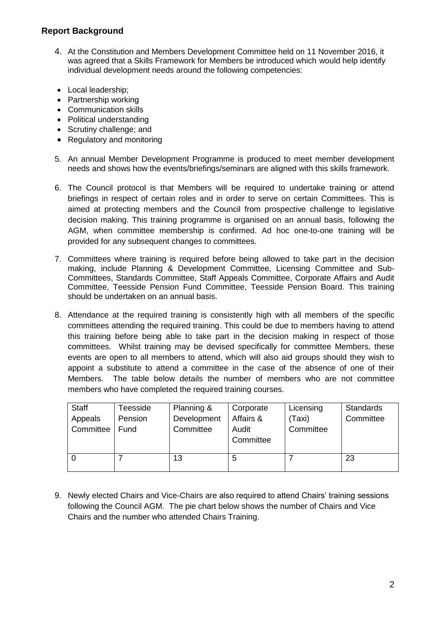# **Report Background**

- 4. At the Constitution and Members Development Committee held on 11 November 2016, it was agreed that a Skills Framework for Members be introduced which would help identify individual development needs around the following competencies:
- Local leadership;
- Partnership working
- Communication skills
- Political understanding
- Scrutiny challenge: and
- Regulatory and monitoring
- 5. An annual Member Development Programme is produced to meet member development needs and shows how the events/briefings/seminars are aligned with this skills framework.
- 6. The Council protocol is that Members will be required to undertake training or attend briefings in respect of certain roles and in order to serve on certain Committees. This is aimed at protecting members and the Council from prospective challenge to legislative decision making. This training programme is organised on an annual basis, following the AGM, when committee membership is confirmed. Ad hoc one-to-one training will be provided for any subsequent changes to committees.
- 7. Committees where training is required before being allowed to take part in the decision making, include Planning & Development Committee, Licensing Committee and Sub-Committees, Standards Committee, Staff Appeals Committee, Corporate Affairs and Audit Committee, Teesside Pension Fund Committee, Teesside Pension Board. This training should be undertaken on an annual basis.
- 8. Attendance at the required training is consistently high with all members of the specific committees attending the required training. This could be due to members having to attend this training before being able to take part in the decision making in respect of those committees. Whilst training may be devised specifically for committee Members, these events are open to all members to attend, which will also aid groups should they wish to appoint a substitute to attend a committee in the case of the absence of one of their Members. The table below details the number of members who are not committee members who have completed the required training courses.

| <b>Staff</b> | <b>Feesside</b> | Planning &  | Corporate | Licensing | <b>Standards</b> |
|--------------|-----------------|-------------|-----------|-----------|------------------|
| Appeals      | Pension         | Development | Affairs & | (Taxi)    | Committee        |
| Committee    | Fund            | Committee   | Audit     | Committee |                  |
|              |                 |             | Committee |           |                  |
|              |                 |             |           |           |                  |
|              |                 | 13          | 5         |           | 23               |
|              |                 |             |           |           |                  |

9. Newly elected Chairs and Vice-Chairs are also required to attend Chairs' training sessions following the Council AGM. The pie chart below shows the number of Chairs and Vice Chairs and the number who attended Chairs Training.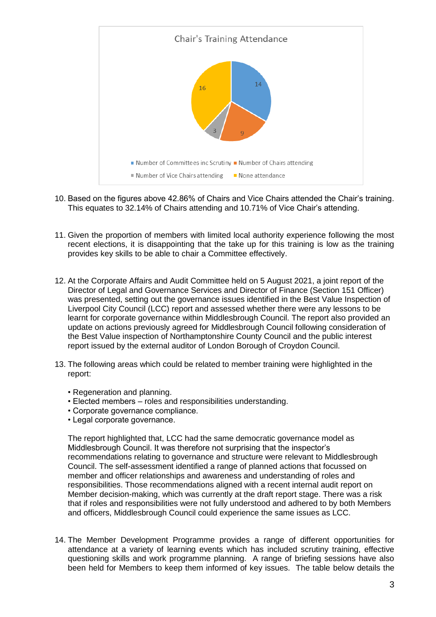

- 10. Based on the figures above 42.86% of Chairs and Vice Chairs attended the Chair's training. This equates to 32.14% of Chairs attending and 10.71% of Vice Chair's attending.
- 11. Given the proportion of members with limited local authority experience following the most recent elections, it is disappointing that the take up for this training is low as the training provides key skills to be able to chair a Committee effectively.
- 12. At the Corporate Affairs and Audit Committee held on 5 August 2021, a joint report of the Director of Legal and Governance Services and Director of Finance (Section 151 Officer) was presented, setting out the governance issues identified in the Best Value Inspection of Liverpool City Council (LCC) report and assessed whether there were any lessons to be learnt for corporate governance within Middlesbrough Council. The report also provided an update on actions previously agreed for Middlesbrough Council following consideration of the Best Value inspection of Northamptonshire County Council and the public interest report issued by the external auditor of London Borough of Croydon Council.
- 13. The following areas which could be related to member training were highlighted in the report:
	- Regeneration and planning.
	- Elected members roles and responsibilities understanding.
	- Corporate governance compliance.
	- Legal corporate governance.

The report highlighted that, LCC had the same democratic governance model as Middlesbrough Council. It was therefore not surprising that the inspector's recommendations relating to governance and structure were relevant to Middlesbrough Council. The self-assessment identified a range of planned actions that focussed on member and officer relationships and awareness and understanding of roles and responsibilities. Those recommendations aligned with a recent internal audit report on Member decision-making, which was currently at the draft report stage. There was a risk that if roles and responsibilities were not fully understood and adhered to by both Members and officers, Middlesbrough Council could experience the same issues as LCC.

14. The Member Development Programme provides a range of different opportunities for attendance at a variety of learning events which has included scrutiny training, effective questioning skills and work programme planning. A range of briefing sessions have also been held for Members to keep them informed of key issues. The table below details the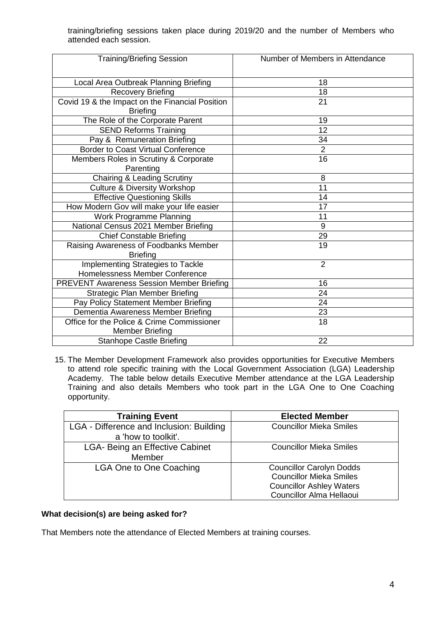training/briefing sessions taken place during 2019/20 and the number of Members who attended each session.

| <b>Training/Briefing Session</b>                                     | Number of Members in Attendance |
|----------------------------------------------------------------------|---------------------------------|
|                                                                      |                                 |
| Local Area Outbreak Planning Briefing                                | 18                              |
| <b>Recovery Briefing</b>                                             | $\overline{18}$                 |
| Covid 19 & the Impact on the Financial Position<br><b>Briefing</b>   | 21                              |
| The Role of the Corporate Parent                                     | 19                              |
| <b>SEND Reforms Training</b>                                         | 12                              |
| Pay & Remuneration Briefing                                          | 34                              |
| <b>Border to Coast Virtual Conference</b>                            | $\overline{2}$                  |
| Members Roles in Scrutiny & Corporate                                | 16                              |
| Parenting                                                            |                                 |
| <b>Chairing &amp; Leading Scrutiny</b>                               | 8                               |
| <b>Culture &amp; Diversity Workshop</b>                              | 11                              |
| <b>Effective Questioning Skills</b>                                  | 14                              |
| How Modern Gov will make your life easier                            | 17                              |
| Work Programme Planning                                              | 11                              |
| National Census 2021 Member Briefing                                 | 9                               |
| <b>Chief Constable Briefing</b>                                      | 29                              |
| Raising Awareness of Foodbanks Member                                | 19                              |
| <b>Briefing</b>                                                      |                                 |
| Implementing Strategies to Tackle                                    | $\overline{2}$                  |
| Homelessness Member Conference                                       |                                 |
| <b>PREVENT Awareness Session Member Briefing</b>                     | 16                              |
| Strategic Plan Member Briefing                                       | 24                              |
| Pay Policy Statement Member Briefing                                 | 24                              |
| Dementia Awareness Member Briefing                                   | 23                              |
| Office for the Police & Crime Commissioner<br><b>Member Briefing</b> | 18                              |
| <b>Stanhope Castle Briefing</b>                                      | 22                              |

15. The Member Development Framework also provides opportunities for Executive Members to attend role specific training with the Local Government Association (LGA) Leadership Academy. The table below details Executive Member attendance at the LGA Leadership Training and also details Members who took part in the LGA One to One Coaching opportunity.

| <b>Training Event</b>                    | <b>Elected Member</b>           |
|------------------------------------------|---------------------------------|
| LGA - Difference and Inclusion: Building | <b>Councillor Mieka Smiles</b>  |
| a 'how to toolkit'.                      |                                 |
| LGA- Being an Effective Cabinet          | <b>Councillor Mieka Smiles</b>  |
| Member                                   |                                 |
| LGA One to One Coaching                  | <b>Councillor Carolyn Dodds</b> |
|                                          | <b>Councillor Mieka Smiles</b>  |
|                                          | <b>Councillor Ashley Waters</b> |
|                                          | Councillor Alma Hellaoui        |

#### **What decision(s) are being asked for?**

That Members note the attendance of Elected Members at training courses.